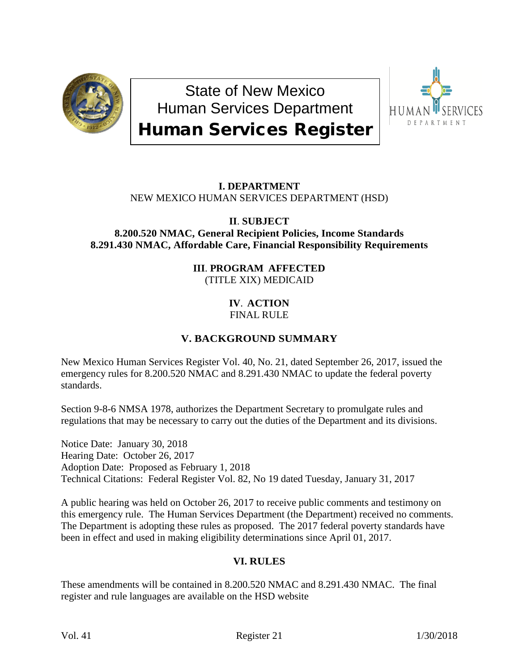

State of New Mexico Human Services Department Human Services Register



## **I. DEPARTMENT** NEW MEXICO HUMAN SERVICES DEPARTMENT (HSD)

#### **II**. **SUBJECT 8.200.520 NMAC, General Recipient Policies, Income Standards 8.291.430 NMAC, Affordable Care, Financial Responsibility Requirements**

### **III**. **PROGRAM AFFECTED** (TITLE XIX) MEDICAID

### **IV**. **ACTION** FINAL RULE

# **V. BACKGROUND SUMMARY**

New Mexico Human Services Register Vol. 40, No. 21, dated September 26, 2017, issued the emergency rules for 8.200.520 NMAC and 8.291.430 NMAC to update the federal poverty standards.

Section 9-8-6 NMSA 1978, authorizes the Department Secretary to promulgate rules and regulations that may be necessary to carry out the duties of the Department and its divisions.

Notice Date: January 30, 2018 Hearing Date: October 26, 2017 Adoption Date: Proposed as February 1, 2018 Technical Citations: Federal Register Vol. 82, No 19 dated Tuesday, January 31, 2017

A public hearing was held on October 26, 2017 to receive public comments and testimony on this emergency rule. The Human Services Department (the Department) received no comments. The Department is adopting these rules as proposed. The 2017 federal poverty standards have been in effect and used in making eligibility determinations since April 01, 2017.

## **VI. RULES**

These amendments will be contained in 8.200.520 NMAC and 8.291.430 NMAC. The final register and rule languages are available on the HSD website